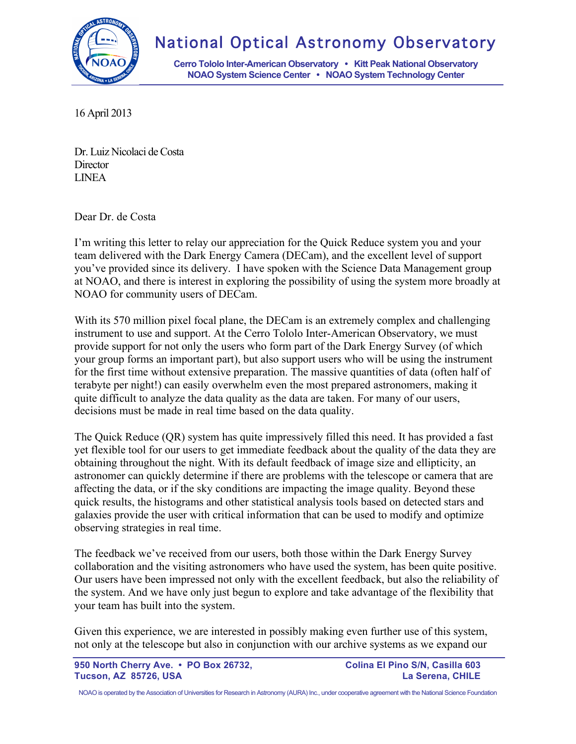

## National Optical Astronomy Observatory

**Cerro Tololo Inter-American Observatory • Kitt Peak National Observatory NOAO System Science Center • NOAO System Technology Center**

16 April 2013

Dr. Luiz Nicolaci de Costa **Director** LINEA

Dear Dr. de Costa

I'm writing this letter to relay our appreciation for the Quick Reduce system you and your team delivered with the Dark Energy Camera (DECam), and the excellent level of support you've provided since its delivery. I have spoken with the Science Data Management group at NOAO, and there is interest in exploring the possibility of using the system more broadly at NOAO for community users of DECam.

With its 570 million pixel focal plane, the DECam is an extremely complex and challenging instrument to use and support. At the Cerro Tololo Inter-American Observatory, we must provide support for not only the users who form part of the Dark Energy Survey (of which your group forms an important part), but also support users who will be using the instrument for the first time without extensive preparation. The massive quantities of data (often half of terabyte per night!) can easily overwhelm even the most prepared astronomers, making it quite difficult to analyze the data quality as the data are taken. For many of our users, decisions must be made in real time based on the data quality.

The Quick Reduce (QR) system has quite impressively filled this need. It has provided a fast yet flexible tool for our users to get immediate feedback about the quality of the data they are obtaining throughout the night. With its default feedback of image size and ellipticity, an astronomer can quickly determine if there are problems with the telescope or camera that are affecting the data, or if the sky conditions are impacting the image quality. Beyond these quick results, the histograms and other statistical analysis tools based on detected stars and galaxies provide the user with critical information that can be used to modify and optimize observing strategies in real time.

The feedback we've received from our users, both those within the Dark Energy Survey collaboration and the visiting astronomers who have used the system, has been quite positive. Our users have been impressed not only with the excellent feedback, but also the reliability of the system. And we have only just begun to explore and take advantage of the flexibility that your team has built into the system.

Given this experience, we are interested in possibly making even further use of this system, not only at the telescope but also in conjunction with our archive systems as we expand our

950 North Cherry Ave. • PO Box 26732, Colina El Pino S/N, Casilla 603 **Tucson, AZ 85726, USA La Serena, CHILE**

NOAO is operated by the Association of Universities for Research in Astronomy (AURA) Inc., under cooperative agreement with the National Science Foundation